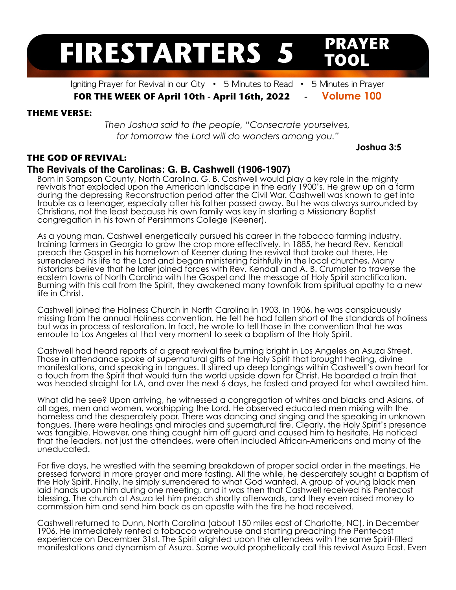# **FIRESTARTERS 5**

Igniting Prayer for Revival in our City  $\cdot$  5 Minutes to Read  $\cdot$  5 Minutes in Prayer

**FOR THE WEEK OF April 10th - April 16th, 2022 - Volume 100**

### **THEME VERSE:**

*Then Joshua said to the people, "Consecrate yourselves, for tomorrow the Lord will do wonders among you."* 

## **THE GOD OF REVIVAL:**

## **The Revivals of the Carolinas: G. B. Cashwell (1906-1907)**

Born in Sampson County, North Carolina, G. B. Cashwell would play a key role in the mighty revivals that exploded upon the American landscape in the early 1900's. He grew up on a farm during the depressing Reconstruction period after the Civil War. Cashwell was known to get into trouble as a teenager, especially after his father passed away. But he was always surrounded by Christians, not the least because his own family was key in starting a Missionary Baptist congregation in his town of Persimmons College (Keener).

As a young man, Cashwell energetically pursued his career in the tobacco farming industry, training farmers in Georgia to grow the crop more effectively. In 1885, he heard Rev. Kendall preach the Gospel in his hometown of Keener during the revival that broke out there. He surrendered his life to the Lord and began ministering faithfully in the local churches, Many historians believe that he later joined forces with Rev. Kendall and A. B. Crumpler to traverse the eastern towns of North Carolina with the Gospel and the message of Holy Spirit sanctification. Burning with this call from the Spirit, they awakened many townfolk from spiritual apathy to a new life in Christ.

Cashwell joined the Holiness Church in North Carolina in 1903. In 1906, he was conspicuously missing from the annual Holiness convention. He felt he had fallen short of the standards of holiness but was in process of restoration. In fact, he wrote to tell those in the convention that he was enroute to Los Angeles at that very moment to seek a baptism of the Holy Spirit.

Cashwell had heard reports of a great revival fire burning bright in Los Angeles on Asuza Street. Those in attendance spoke of supernatural gifts of the Holy Spirit that brought healing, divine manifestations, and speaking in tongues. It stirred up deep longings within Cashwell's own heart for a touch from the Spirit that would turn the world upside down for Christ. He boarded a train that was headed straight for LA, and over the next 6 days, he fasted and prayed for what awaited him.

What did he see? Upon arriving, he witnessed a congregation of whites and blacks and Asians, of all ages, men and women, worshipping the Lord. He observed educated men mixing with the homeless and the desperately poor. There was dancing and singing and the speaking in unknown tongues. There were healings and miracles and supernatural fire. Clearly, the Holy Spirit's presence was tangible. However, one thing caught him off guard and caused him to hesitate. He noticed that the leaders, not just the attendees, were often included African-Americans and many of the uneducated.

For five days, he wrestled with the seeming breakdown of proper social order in the meetings. He pressed forward in more prayer and more fasting. All the while, he desperately sought a baptism of the Holy Spirit. Finally, he simply surrendered to what God wanted. A group of young black men laid hands upon him during one meeting, and it was then that Cashwell received his Pentecost blessing. The church at Asuza let him preach shortly afterwards, and they even raised money to commission him and send him back as an apostle with the fire he had received.

Cashwell returned to Dunn, North Carolina (about 150 miles east of Charlotte, NC), in December 1906. He immediately rented a tobacco warehouse and starting preaching the Pentecost experience on December 31st. The Spirit alighted upon the attendees with the same Spirit-filled manifestations and dynamism of Asuza. Some would prophetically call this revival Asuza East. Even

 **Joshua 3:5** 

**PRAYER** 

TOOL